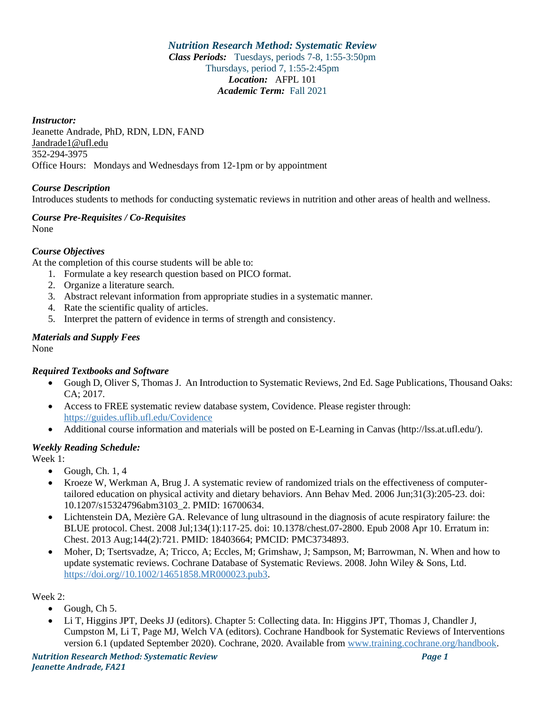*Nutrition Research Method: Systematic Review Class Periods:* Tuesdays, periods 7-8, 1:55-3:50pm Thursdays, period 7, 1:55-2:45pm *Location:* AFPL 101 *Academic Term:* Fall 2021

*Instructor:* Jeanette Andrade, PhD, RDN, LDN, FAND Jandrade1@ufl.edu 352-294-3975 Office Hours: Mondays and Wednesdays from 12-1pm or by appointment

# *Course Description*

Introduces students to methods for conducting systematic reviews in nutrition and other areas of health and wellness.

#### *Course Pre-Requisites / Co-Requisites* None

### *Course Objectives*

At the completion of this course students will be able to:

- 1. Formulate a key research question based on PICO format.
- 2. Organize a literature search.
- 3. Abstract relevant information from appropriate studies in a systematic manner.
- 4. Rate the scientific quality of articles.
- 5. Interpret the pattern of evidence in terms of strength and consistency.

# *Materials and Supply Fees*

None

### *Required Textbooks and Software*

- Gough D, Oliver S, Thomas J. An Introduction to Systematic Reviews, 2nd Ed. Sage Publications, Thousand Oaks: CA; 2017.
- Access to FREE systematic review database system, Covidence. Please register through: <https://guides.uflib.ufl.edu/Covidence>
- Additional course information and materials will be posted on E-Learning in Canvas (http://lss.at.ufl.edu/).

### *Weekly Reading Schedule:*

Week 1:

- Gough, Ch.  $1, 4$
- Kroeze W, Werkman A, Brug J. A systematic review of randomized trials on the effectiveness of computertailored education on physical activity and dietary behaviors. Ann Behav Med. 2006 Jun;31(3):205-23. doi: 10.1207/s15324796abm3103\_2. PMID: 16700634.
- Lichtenstein DA, Mezière GA. Relevance of lung ultrasound in the diagnosis of acute respiratory failure: the BLUE protocol. Chest. 2008 Jul;134(1):117-25. doi: 10.1378/chest.07-2800. Epub 2008 Apr 10. Erratum in: Chest. 2013 Aug;144(2):721. PMID: 18403664; PMCID: PMC3734893.
- Moher, D; Tsertsvadze, A; Tricco, A; Eccles, M; Grimshaw, J; Sampson, M; Barrowman, N. When and how to update systematic reviews. Cochrane Database of Systematic Reviews. 2008. John Wiley & Sons, Ltd. [https://doi.org//10.1002/14651858.MR000023.pub3.](https://doi.org/10.1002/14651858.MR000023.pub3)

### Week 2:

- Gough, Ch 5.
- Li T, Higgins JPT, Deeks JJ (editors). Chapter 5: Collecting data. In: Higgins JPT, Thomas J, Chandler J, Cumpston M, Li T, Page MJ, Welch VA (editors). Cochrane Handbook for Systematic Reviews of Interventions version 6.1 (updated September 2020). Cochrane, 2020. Available fro[m www.training.cochrane.org/handbook.](http://www.training.cochrane.org/handbook)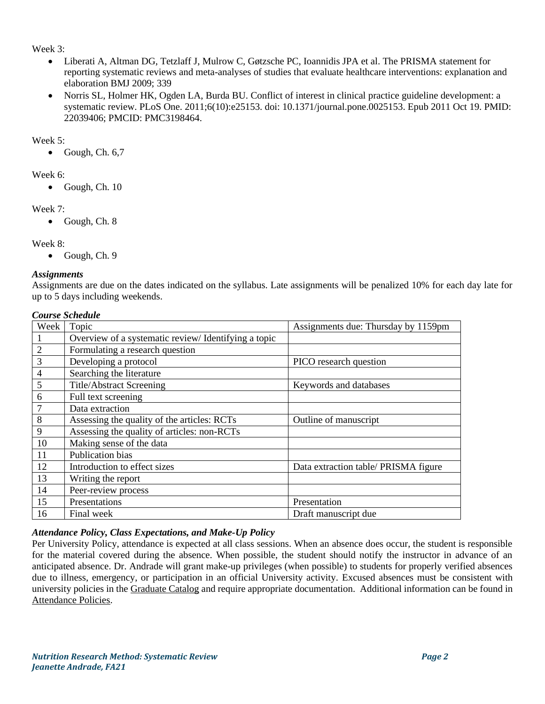### Week 3:

- Liberati A, Altman DG, Tetzlaff J, Mulrow C, Gøtzsche PC, Ioannidis JPA et al. The PRISMA statement for reporting systematic reviews and meta-analyses of studies that evaluate healthcare interventions: explanation and elaboration BMJ 2009; 339
- Norris SL, Holmer HK, Ogden LA, Burda BU. Conflict of interest in clinical practice guideline development: a systematic review. PLoS One. 2011;6(10):e25153. doi: 10.1371/journal.pone.0025153. Epub 2011 Oct 19. PMID: 22039406; PMCID: PMC3198464.

## Week 5:

 $\bullet$  Gough, Ch. 6,7

# Week 6:

• Gough, Ch. 10

# Week 7:

• Gough, Ch. 8

# Week 8:

• Gough, Ch. 9

# *Assignments*

Assignments are due on the dates indicated on the syllabus. Late assignments will be penalized 10% for each day late for up to 5 days including weekends.

### *Course Schedule*

| Week           | Topic                                               | Assignments due: Thursday by 1159pm  |
|----------------|-----------------------------------------------------|--------------------------------------|
|                | Overview of a systematic review/Identifying a topic |                                      |
| $\overline{2}$ | Formulating a research question                     |                                      |
| 3              | Developing a protocol                               | PICO research question               |
| $\overline{4}$ | Searching the literature                            |                                      |
| 5              | <b>Title/Abstract Screening</b>                     | Keywords and databases               |
| 6              | Full text screening                                 |                                      |
|                | Data extraction                                     |                                      |
| 8              | Assessing the quality of the articles: RCTs         | Outline of manuscript                |
| 9              | Assessing the quality of articles: non-RCTs         |                                      |
| 10             | Making sense of the data                            |                                      |
| 11             | Publication bias                                    |                                      |
| 12             | Introduction to effect sizes                        | Data extraction table/ PRISMA figure |
| 13             | Writing the report                                  |                                      |
| 14             | Peer-review process                                 |                                      |
| 15             | Presentations                                       | Presentation                         |
| 16             | Final week                                          | Draft manuscript due                 |

# *Attendance Policy, Class Expectations, and Make-Up Policy*

Per University Policy, attendance is expected at all class sessions. When an absence does occur, the student is responsible for the material covered during the absence. When possible, the student should notify the instructor in advance of an anticipated absence. Dr. Andrade will grant make-up privileges (when possible) to students for properly verified absences due to illness, emergency, or participation in an official University activity. Excused absences must be consistent with university policies in the [Graduate Catalog](https://catalog.ufl.edu/graduate/?catoid=10&navoid=2020#attendance) and require appropriate documentation. Additional information can be found in [Attendance Policies.](https://catalog.ufl.edu/UGRD/academic-regulations/attendance-policies/)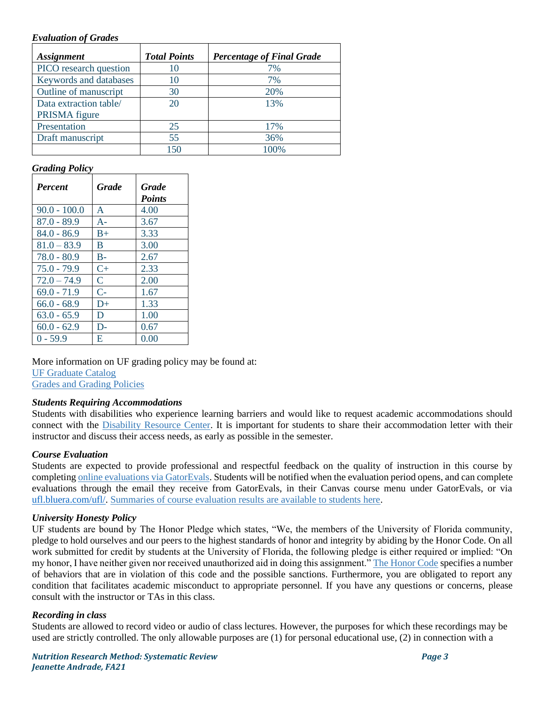#### *Evaluation of Grades*

| <b>Assignment</b>      | <b>Total Points</b> | <b>Percentage of Final Grade</b> |
|------------------------|---------------------|----------------------------------|
| PICO research question | 10                  | 7%                               |
| Keywords and databases | 10                  | 7%                               |
| Outline of manuscript  | 30                  | 20%                              |
| Data extraction table/ | 20                  | 13%                              |
| PRISMA figure          |                     |                                  |
| Presentation           | 25                  | 17%                              |
| Draft manuscript       | 55                  | 36%                              |
|                        | 150                 | 100%                             |

### *Grading Policy*

| <b>Percent</b> | <b>Grade</b> | <b>Grade</b><br><b>Points</b> |
|----------------|--------------|-------------------------------|
| $90.0 - 100.0$ | A            | 4.00                          |
| $87.0 - 89.9$  | $A-$         | 3.67                          |
| $84.0 - 86.9$  | $B+$         | 3.33                          |
| $81.0 - 83.9$  | B            | 3.00                          |
| 78.0 - 80.9    | $B -$        | 2.67                          |
| $75.0 - 79.9$  | $C+$         | 2.33                          |
| $72.0 - 74.9$  | $\mathsf{C}$ | 2.00                          |
| $69.0 - 71.9$  | $C-$         | 1.67                          |
| $66.0 - 68.9$  | $D+$         | 1.33                          |
| $63.0 - 65.9$  | D            | 1.00                          |
| $60.0 - 62.9$  | $D-$         | 0.67                          |
| $0 - 59.9$     | E            | 0.00                          |

More information on UF grading policy may be found at: [UF Graduate Catalog](https://catalog.ufl.edu/graduate/?catoid=10&navoid=2020#grades) [Grades and Grading Policies](https://catalog.ufl.edu/UGRD/academic-regulations/grades-grading-policies/)

#### *Students Requiring Accommodations*

Students with disabilities who experience learning barriers and would like to request academic accommodations should connect with the [Disability Resource Center.](https://disability.ufl.edu/students/get-started/) It is important for students to share their accommodation letter with their instructor and discuss their access needs, as early as possible in the semester.

### *Course Evaluation*

Students are expected to provide professional and respectful feedback on the quality of instruction in this course by completing [online evaluations](https://gatorevals.aa.ufl.edu/) via GatorEvals. Students will be notified when the evaluation period opens, and can complete evaluations through the email they receive from GatorEvals, in their Canvas course menu under GatorEvals, or via [ufl.bluera.com/ufl/.](https://ufl.bluera.com/ufl/) [Summaries of course evaluation results are available to students here.](https://gatorevals.aa.ufl.edu/public-results/)

### *University Honesty Policy*

UF students are bound by The Honor Pledge which states, "We, the members of the University of Florida community, pledge to hold ourselves and our peers to the highest standards of honor and integrity by abiding by the Honor Code. On all work submitted for credit by students at the University of Florida, the following pledge is either required or implied: "On my honor, I have neither given nor received unauthorized aid in doing this assignment." [The Honor Code](https://sccr.dso.ufl.edu/process/student-conduct-code/) specifies a number of behaviors that are in violation of this code and the possible sanctions. Furthermore, you are obligated to report any condition that facilitates academic misconduct to appropriate personnel. If you have any questions or concerns, please consult with the instructor or TAs in this class.

### *Recording in class*

Students are allowed to record video or audio of class lectures. However, the purposes for which these recordings may be used are strictly controlled. The only allowable purposes are (1) for personal educational use, (2) in connection with a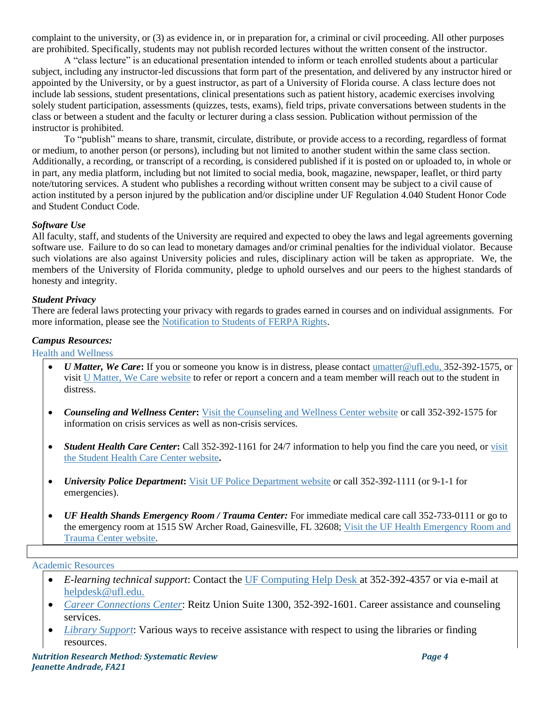complaint to the university, or (3) as evidence in, or in preparation for, a criminal or civil proceeding. All other purposes are prohibited. Specifically, students may not publish recorded lectures without the written consent of the instructor.

A "class lecture" is an educational presentation intended to inform or teach enrolled students about a particular subject, including any instructor-led discussions that form part of the presentation, and delivered by any instructor hired or appointed by the University, or by a guest instructor, as part of a University of Florida course. A class lecture does not include lab sessions, student presentations, clinical presentations such as patient history, academic exercises involving solely student participation, assessments (quizzes, tests, exams), field trips, private conversations between students in the class or between a student and the faculty or lecturer during a class session. Publication without permission of the instructor is prohibited.

To "publish" means to share, transmit, circulate, distribute, or provide access to a recording, regardless of format or medium, to another person (or persons), including but not limited to another student within the same class section. Additionally, a recording, or transcript of a recording, is considered published if it is posted on or uploaded to, in whole or in part, any media platform, including but not limited to social media, book, magazine, newspaper, leaflet, or third party note/tutoring services. A student who publishes a recording without written consent may be subject to a civil cause of action instituted by a person injured by the publication and/or discipline under UF Regulation 4.040 Student Honor Code and Student Conduct Code.

### *Software Use*

All faculty, staff, and students of the University are required and expected to obey the laws and legal agreements governing software use. Failure to do so can lead to monetary damages and/or criminal penalties for the individual violator. Because such violations are also against University policies and rules, disciplinary action will be taken as appropriate. We, the members of the University of Florida community, pledge to uphold ourselves and our peers to the highest standards of honesty and integrity.

### *Student Privacy*

There are federal laws protecting your privacy with regards to grades earned in courses and on individual assignments. For more information, please see the [Notification to Students of FERPA Rights.](https://registrar.ufl.edu/catalog0910/policies/regulationferpa.html)

### *Campus Resources:*

#### Health and Wellness

- *U Matter, We Care***:** If you or someone you know is in distress, please contac[t umatter@ufl.edu, 3](mailto:umatter@ufl.edu)52-392-1575, or visi[t U Matter, We Care website](https://umatter.ufl.edu/) to refer or report a concern and a team member will reach out to the student in distress.
- *Counseling and Wellness Center***:** [Visit the Counseling and Wellness Center website](https://counseling.ufl.edu/) or call 352-392-1575 for information on crisis services as well as non-crisis services.
- *Student Health Care Center*: Call 352-392-1161 for 24/7 information to help you find the care you need, or visit [the Student Health Care Center website](https://shcc.ufl.edu/)**.**
- *University Police Department***:** [Visit UF Police Department website](https://police.ufl.edu/) or call 352-392-1111 (or 9-1-1 for emergencies).
- *UF Health Shands Emergency Room / Trauma Center:* For immediate medical care call 352-733-0111 or go to the emergency room at 1515 SW Archer Road, Gainesville, FL 32608; Visit the UF Health Emergency Room and [Trauma Center website.](https://ufhealth.org/emergency-room-trauma-center)

### Academic Resources

- *E-learning technical support*: Contact the [UF Computing Help Desk a](http://helpdesk.ufl.edu/)t 352-392-4357 or via e-mail at [helpdesk@ufl.edu.](mailto:helpdesk@ufl.edu)
- *[Career Connections Center](https://career.ufl.edu/)*: Reitz Union Suite 1300, 352-392-1601. Career assistance and counseling services.
- *[Library Support](https://cms.uflib.ufl.edu/ask)*: Various ways to receive assistance with respect to using the libraries or finding resources.